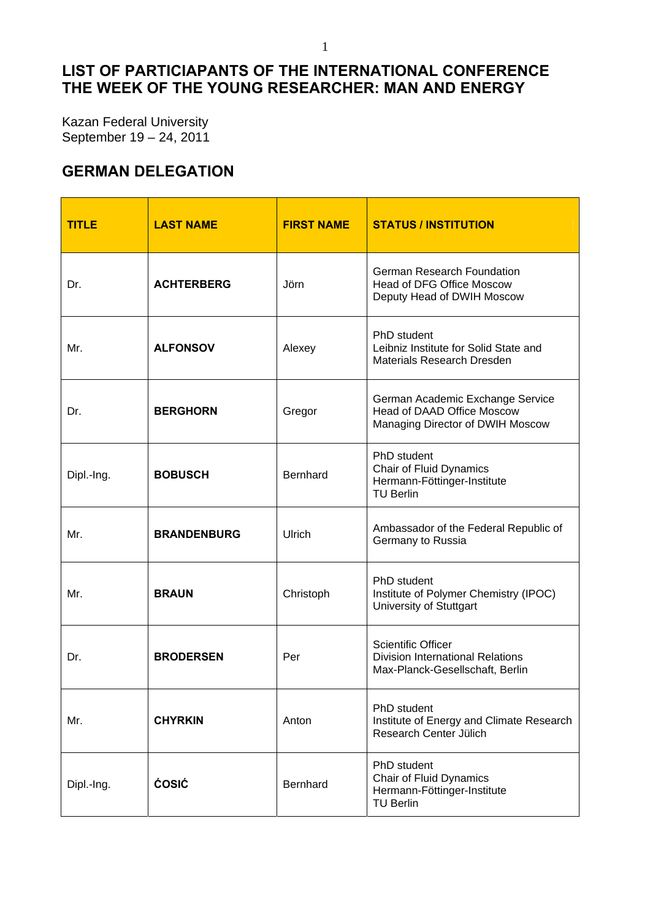## **LIST OF PARTICIAPANTS OF THE INTERNATIONAL CONFERENCE THE WEEK OF THE YOUNG RESEARCHER: MAN AND ENERGY**

Kazan Federal University September 19 – 24, 2011

## **GERMAN DELEGATION**

| <b>TITLE</b> | <b>LAST NAME</b>   | <b>FIRST NAME</b> | <b>STATUS / INSTITUTION</b>                                                                             |
|--------------|--------------------|-------------------|---------------------------------------------------------------------------------------------------------|
| Dr.          | <b>ACHTERBERG</b>  | Jörn              | <b>German Research Foundation</b><br>Head of DFG Office Moscow<br>Deputy Head of DWIH Moscow            |
| Mr.          | <b>ALFONSOV</b>    | Alexey            | PhD student<br>Leibniz Institute for Solid State and<br><b>Materials Research Dresden</b>               |
| Dr.          | <b>BERGHORN</b>    | Gregor            | German Academic Exchange Service<br>Head of DAAD Office Moscow<br>Managing Director of DWIH Moscow      |
| Dipl.-Ing.   | <b>BOBUSCH</b>     | <b>Bernhard</b>   | PhD student<br><b>Chair of Fluid Dynamics</b><br>Hermann-Föttinger-Institute<br><b>TU Berlin</b>        |
| Mr.          | <b>BRANDENBURG</b> | Ulrich            | Ambassador of the Federal Republic of<br>Germany to Russia                                              |
| Mr.          | <b>BRAUN</b>       | Christoph         | PhD student<br>Institute of Polymer Chemistry (IPOC)<br>University of Stuttgart                         |
| Dr.          | <b>BRODERSEN</b>   | Per               | <b>Scientific Officer</b><br><b>Division International Relations</b><br>Max-Planck-Gesellschaft, Berlin |
| Mr.          | <b>CHYRKIN</b>     | Anton             | PhD student<br>Institute of Energy and Climate Research<br>Research Center Jülich                       |
| Dipl.-Ing.   | <b>ĆOSIĆ</b>       | Bernhard          | PhD student<br><b>Chair of Fluid Dynamics</b><br>Hermann-Föttinger-Institute<br><b>TU Berlin</b>        |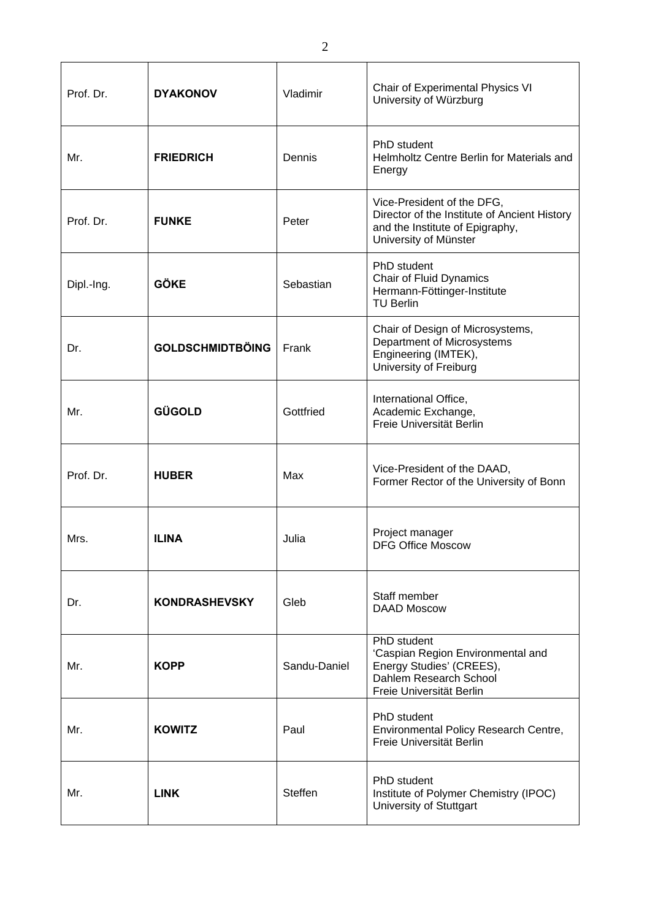| Prof. Dr.  | <b>DYAKONOV</b>         | Vladimir     | Chair of Experimental Physics VI<br>University of Würzburg                                                                             |
|------------|-------------------------|--------------|----------------------------------------------------------------------------------------------------------------------------------------|
| Mr.        | <b>FRIEDRICH</b>        | Dennis       | PhD student<br>Helmholtz Centre Berlin for Materials and<br>Energy                                                                     |
| Prof. Dr.  | <b>FUNKE</b>            | Peter        | Vice-President of the DFG,<br>Director of the Institute of Ancient History<br>and the Institute of Epigraphy,<br>University of Münster |
| Dipl.-Ing. | <b>GÖKE</b>             | Sebastian    | PhD student<br><b>Chair of Fluid Dynamics</b><br>Hermann-Föttinger-Institute<br><b>TU Berlin</b>                                       |
| Dr.        | <b>GOLDSCHMIDTBÖING</b> | Frank        | Chair of Design of Microsystems,<br>Department of Microsystems<br>Engineering (IMTEK),<br>University of Freiburg                       |
| Mr.        | GÜGOLD                  | Gottfried    | International Office,<br>Academic Exchange,<br>Freie Universität Berlin                                                                |
| Prof. Dr.  | <b>HUBER</b>            | Max          | Vice-President of the DAAD,<br>Former Rector of the University of Bonn                                                                 |
| Mrs.       | <b>ILINA</b>            | Julia        | Project manager<br><b>DFG Office Moscow</b>                                                                                            |
| Dr.        | <b>KONDRASHEVSKY</b>    | Gleb         | Staff member<br><b>DAAD Moscow</b>                                                                                                     |
| Mr.        | <b>KOPP</b>             | Sandu-Daniel | PhD student<br>'Caspian Region Environmental and<br>Energy Studies' (CREES),<br>Dahlem Research School<br>Freie Universität Berlin     |
| Mr.        | <b>KOWITZ</b>           | Paul         | <b>PhD</b> student<br>Environmental Policy Research Centre,<br>Freie Universität Berlin                                                |
| Mr.        | <b>LINK</b>             | Steffen      | PhD student<br>Institute of Polymer Chemistry (IPOC)<br>University of Stuttgart                                                        |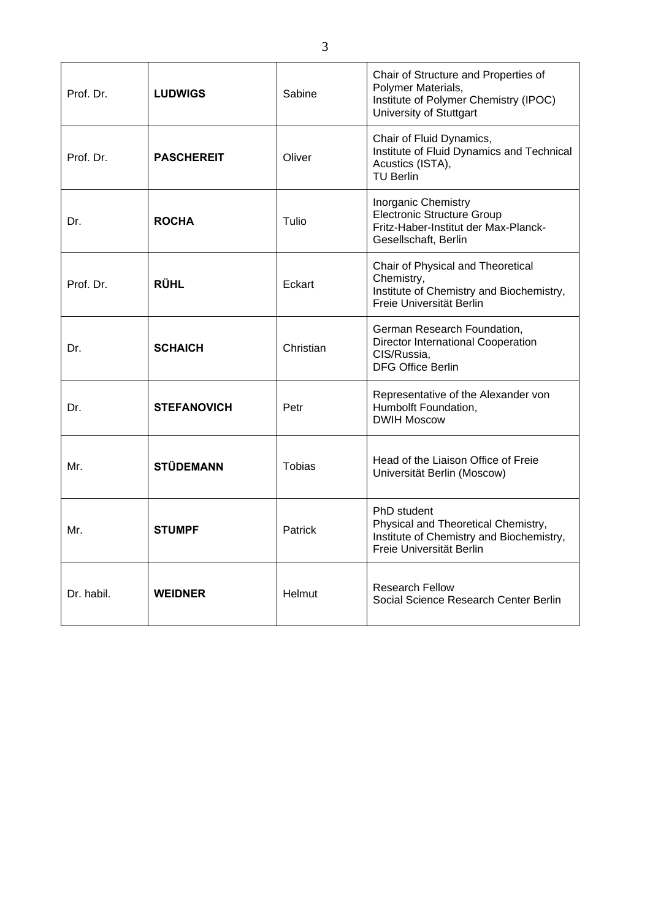| Prof. Dr.  | <b>LUDWIGS</b>     | Sabine         | Chair of Structure and Properties of<br>Polymer Materials,<br>Institute of Polymer Chemistry (IPOC)<br>University of Stuttgart  |
|------------|--------------------|----------------|---------------------------------------------------------------------------------------------------------------------------------|
| Prof. Dr.  | <b>PASCHEREIT</b>  | Oliver         | Chair of Fluid Dynamics,<br>Institute of Fluid Dynamics and Technical<br>Acustics (ISTA),<br><b>TU Berlin</b>                   |
| Dr.        | <b>ROCHA</b>       | Tulio          | <b>Inorganic Chemistry</b><br><b>Electronic Structure Group</b><br>Fritz-Haber-Institut der Max-Planck-<br>Gesellschaft, Berlin |
| Prof. Dr.  | <b>RÜHL</b>        | Eckart         | Chair of Physical and Theoretical<br>Chemistry,<br>Institute of Chemistry and Biochemistry,<br>Freie Universität Berlin         |
| Dr.        | <b>SCHAICH</b>     | Christian      | German Research Foundation,<br>Director International Cooperation<br>CIS/Russia,<br><b>DFG Office Berlin</b>                    |
| Dr.        | <b>STEFANOVICH</b> | Petr           | Representative of the Alexander von<br>Humbolft Foundation,<br><b>DWIH Moscow</b>                                               |
| Mr.        | <b>STÜDEMANN</b>   | Tobias         | Head of the Liaison Office of Freie<br>Universität Berlin (Moscow)                                                              |
| Mr.        | <b>STUMPF</b>      | <b>Patrick</b> | PhD student<br>Physical and Theoretical Chemistry,<br>Institute of Chemistry and Biochemistry,<br>Freie Universität Berlin      |
| Dr. habil. | <b>WEIDNER</b>     | Helmut         | <b>Research Fellow</b><br>Social Science Research Center Berlin                                                                 |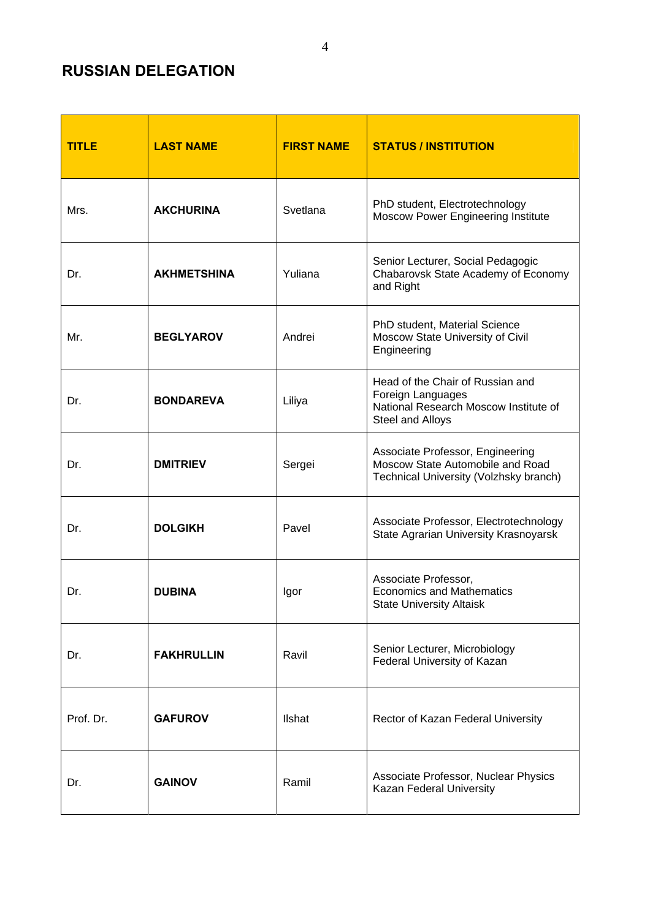## **RUSSIAN DELEGATION**

| <b>TITLE</b> | <b>LAST NAME</b>   | <b>FIRST NAME</b> | <b>STATUS / INSTITUTION</b>                                                                                        |
|--------------|--------------------|-------------------|--------------------------------------------------------------------------------------------------------------------|
| Mrs.         | <b>AKCHURINA</b>   | Svetlana          | PhD student, Electrotechnology<br><b>Moscow Power Engineering Institute</b>                                        |
| Dr.          | <b>AKHMETSHINA</b> | Yuliana           | Senior Lecturer, Social Pedagogic<br>Chabarovsk State Academy of Economy<br>and Right                              |
| Mr.          | <b>BEGLYAROV</b>   | Andrei            | PhD student, Material Science<br>Moscow State University of Civil<br>Engineering                                   |
| Dr.          | <b>BONDAREVA</b>   | Liliya            | Head of the Chair of Russian and<br>Foreign Languages<br>National Research Moscow Institute of<br>Steel and Alloys |
| Dr.          | <b>DMITRIEV</b>    | Sergei            | Associate Professor, Engineering<br>Moscow State Automobile and Road<br>Technical University (Volzhsky branch)     |
| Dr.          | <b>DOLGIKH</b>     | Pavel             | Associate Professor, Electrotechnology<br>State Agrarian University Krasnoyarsk                                    |
| Dr.          | <b>DUBINA</b>      | Igor              | Associate Professor,<br><b>Economics and Mathematics</b><br><b>State University Altaisk</b>                        |
| Dr.          | <b>FAKHRULLIN</b>  | Ravil             | Senior Lecturer, Microbiology<br>Federal University of Kazan                                                       |
| Prof. Dr.    | <b>GAFUROV</b>     | Ilshat            | Rector of Kazan Federal University                                                                                 |
| Dr.          | <b>GAINOV</b>      | Ramil             | Associate Professor, Nuclear Physics<br>Kazan Federal University                                                   |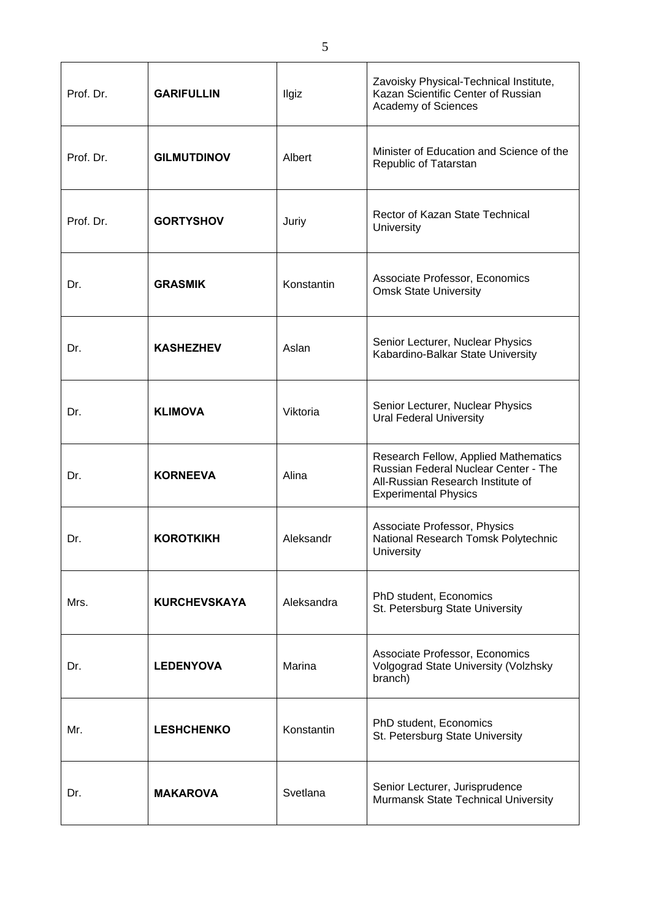| Prof. Dr. | <b>GARIFULLIN</b>   | <b>Ilgiz</b> | Zavoisky Physical-Technical Institute,<br>Kazan Scientific Center of Russian<br>Academy of Sciences                                              |
|-----------|---------------------|--------------|--------------------------------------------------------------------------------------------------------------------------------------------------|
| Prof. Dr. | <b>GILMUTDINOV</b>  | Albert       | Minister of Education and Science of the<br>Republic of Tatarstan                                                                                |
| Prof. Dr. | <b>GORTYSHOV</b>    | Juriy        | Rector of Kazan State Technical<br>University                                                                                                    |
| Dr.       | <b>GRASMIK</b>      | Konstantin   | Associate Professor, Economics<br><b>Omsk State University</b>                                                                                   |
| Dr.       | <b>KASHEZHEV</b>    | Aslan        | Senior Lecturer, Nuclear Physics<br>Kabardino-Balkar State University                                                                            |
| Dr.       | <b>KLIMOVA</b>      | Viktoria     | Senior Lecturer, Nuclear Physics<br><b>Ural Federal University</b>                                                                               |
| Dr.       | <b>KORNEEVA</b>     | Alina        | Research Fellow, Applied Mathematics<br>Russian Federal Nuclear Center - The<br>All-Russian Research Institute of<br><b>Experimental Physics</b> |
| Dr.       | <b>KOROTKIKH</b>    | Aleksandr    | Associate Professor, Physics<br>National Research Tomsk Polytechnic<br>University                                                                |
| Mrs.      | <b>KURCHEVSKAYA</b> | Aleksandra   | PhD student, Economics<br>St. Petersburg State University                                                                                        |
| Dr.       | <b>LEDENYOVA</b>    | Marina       | Associate Professor, Economics<br>Volgograd State University (Volzhsky<br>branch)                                                                |
| Mr.       | <b>LESHCHENKO</b>   | Konstantin   | PhD student, Economics<br>St. Petersburg State University                                                                                        |
| Dr.       | <b>MAKAROVA</b>     | Svetlana     | Senior Lecturer, Jurisprudence<br>Murmansk State Technical University                                                                            |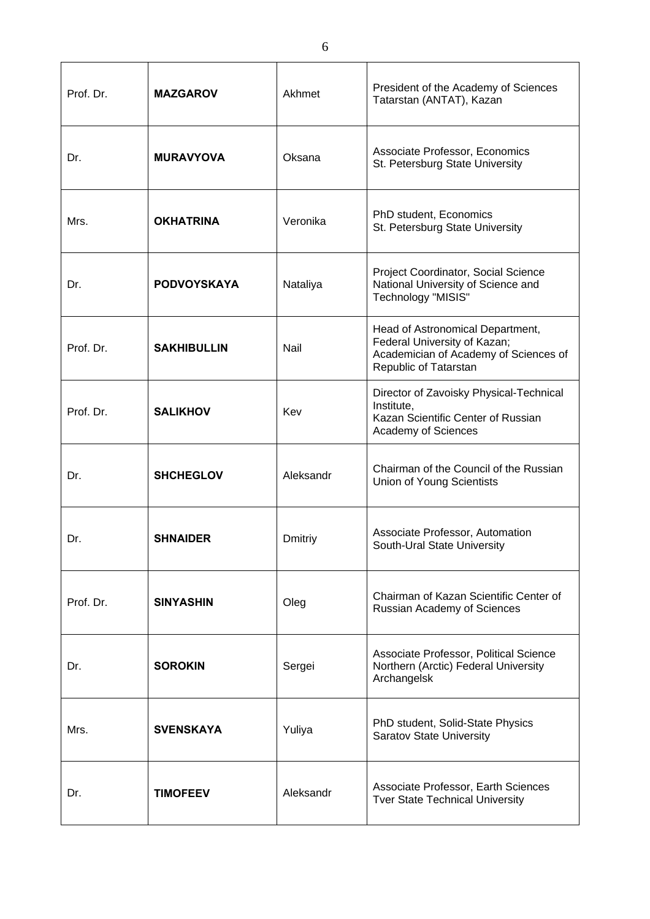| Prof. Dr. | <b>MAZGAROV</b>    | Akhmet    | President of the Academy of Sciences<br>Tatarstan (ANTAT), Kazan                                                                   |
|-----------|--------------------|-----------|------------------------------------------------------------------------------------------------------------------------------------|
| Dr.       | <b>MURAVYOVA</b>   | Oksana    | Associate Professor, Economics<br>St. Petersburg State University                                                                  |
| Mrs.      | <b>OKHATRINA</b>   | Veronika  | PhD student, Economics<br>St. Petersburg State University                                                                          |
| Dr.       | <b>PODVOYSKAYA</b> | Nataliya  | Project Coordinator, Social Science<br>National University of Science and<br>Technology "MISIS"                                    |
| Prof. Dr. | <b>SAKHIBULLIN</b> | Nail      | Head of Astronomical Department,<br>Federal University of Kazan;<br>Academician of Academy of Sciences of<br>Republic of Tatarstan |
| Prof. Dr. | <b>SALIKHOV</b>    | Kev       | Director of Zavoisky Physical-Technical<br>Institute,<br>Kazan Scientific Center of Russian<br>Academy of Sciences                 |
| Dr.       | <b>SHCHEGLOV</b>   | Aleksandr | Chairman of the Council of the Russian<br><b>Union of Young Scientists</b>                                                         |
| Dr.       | <b>SHNAIDER</b>    | Dmitriy   | Associate Professor, Automation<br>South-Ural State University                                                                     |
| Prof. Dr. | <b>SINYASHIN</b>   | Oleg      | Chairman of Kazan Scientific Center of<br>Russian Academy of Sciences                                                              |
| Dr.       | <b>SOROKIN</b>     | Sergei    | Associate Professor, Political Science<br>Northern (Arctic) Federal University<br>Archangelsk                                      |
| Mrs.      | <b>SVENSKAYA</b>   | Yuliya    | PhD student, Solid-State Physics<br><b>Saratov State University</b>                                                                |
| Dr.       | <b>TIMOFEEV</b>    | Aleksandr | Associate Professor, Earth Sciences<br><b>Tver State Technical University</b>                                                      |